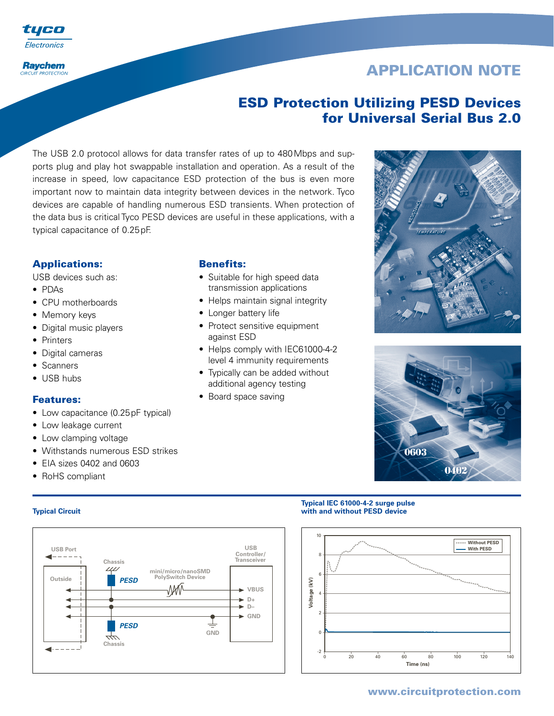

#### **Raychem CIRCUIT PROTECTION**

# **APPLICATION NOTE**

# **ESD Protection Utilizing PESD Devices for Universal Serial Bus 2.0**

The USB 2.0 protocol allows for data transfer rates of up to 480Mbps and supports plug and play hot swappable installation and operation. As a result of the increase in speed, low capacitance ESD protection of the bus is even more important now to maintain data integrity between devices in the network. Tyco devices are capable of handling numerous ESD transients. When protection of the data bus is critical Tyco PESD devices are useful in these applications, with a typical capacitance of 0.25pF.

# **Applications:**

USB devices such as:

- PDAs
- CPU motherboards
- Memory keys
- Digital music players
- Printers
- Digital cameras
- Scanners
- USB hubs

## **Features:**

- Low capacitance (0.25pF typical)
- Low leakage current
- Low clamping voltage
- Withstands numerous ESD strikes
- EIA sizes 0402 and 0603
- RoHS compliant



## **Benefits:**

- Suitable for high speed data transmission applications
- Helps maintain signal integrity
- Longer battery life
- Protect sensitive equipment against ESD
- Helps comply with IEC61000-4-2 level 4 immunity requirements
- Typically can be added without additional agency testing
- Board space saving





#### **Typical IEC 61000-4-2 surge pulse Typical Circuit with and without PESD device**



# **www.circuitprotection.com**